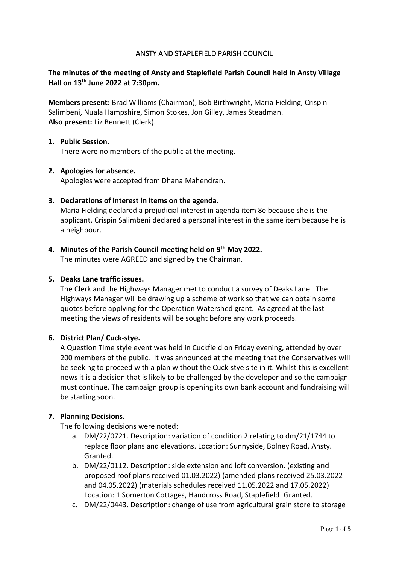# ANSTY AND STAPLEFIELD PARISH COUNCIL

# **The minutes of the meeting of Ansty and Staplefield Parish Council held in Ansty Village Hall on 13th June 2022 at 7:30pm.**

**Members present:** Brad Williams (Chairman), Bob Birthwright, Maria Fielding, Crispin Salimbeni, Nuala Hampshire, Simon Stokes, Jon Gilley, James Steadman. **Also present:** Liz Bennett (Clerk).

### **1. Public Session.**

There were no members of the public at the meeting.

#### **2. Apologies for absence.** Apologies were accepted from Dhana Mahendran.

### **3. Declarations of interest in items on the agenda.**

Maria Fielding declared a prejudicial interest in agenda item 8e because she is the applicant. Crispin Salimbeni declared a personal interest in the same item because he is a neighbour.

# **4. Minutes of the Parish Council meeting held on 9 th May 2022.**

The minutes were AGREED and signed by the Chairman.

#### **5. Deaks Lane traffic issues.**

The Clerk and the Highways Manager met to conduct a survey of Deaks Lane. The Highways Manager will be drawing up a scheme of work so that we can obtain some quotes before applying for the Operation Watershed grant. As agreed at the last meeting the views of residents will be sought before any work proceeds.

### **6. District Plan/ Cuck-stye.**

A Question Time style event was held in Cuckfield on Friday evening, attended by over 200 members of the public. It was announced at the meeting that the Conservatives will be seeking to proceed with a plan without the Cuck-stye site in it. Whilst this is excellent news it is a decision that is likely to be challenged by the developer and so the campaign must continue. The campaign group is opening its own bank account and fundraising will be starting soon.

#### **7. Planning Decisions.**

The following decisions were noted:

- a. DM/22/0721. Description: variation of condition 2 relating to dm/21/1744 to replace floor plans and elevations. Location: Sunnyside, Bolney Road, Ansty. Granted.
- b. DM/22/0112. Description: side extension and loft conversion. (existing and proposed roof plans received 01.03.2022) (amended plans received 25.03.2022 and 04.05.2022) (materials schedules received 11.05.2022 and 17.05.2022) Location: 1 Somerton Cottages, Handcross Road, Staplefield. Granted.
- c. DM/22/0443. Description: change of use from agricultural grain store to storage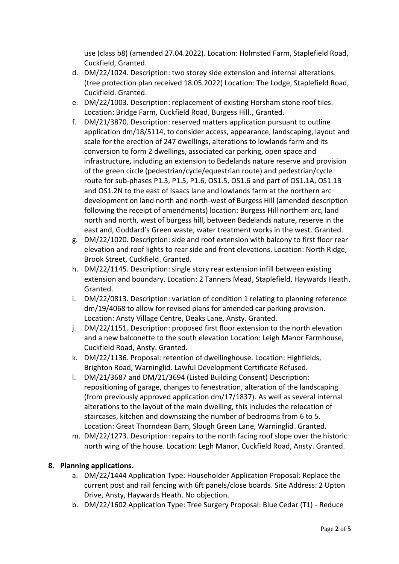use (class b8) (amended 27.04.2022). Location: Holmsted Farm, Staplefield Road, Cuckfield, Granted.

- d. DM/22/1024. Description: two storey side extension and internal alterations. (tree protection plan received 18.05.2022) Location: The Lodge, Staplefield Road, Cuckfield. Granted.
- e. DM/22/1003. Description: replacement of existing Horsham stone roof tiles. Location: Bridge Farm, Cuckfield Road, Burgess Hill., Granted.
- f. DM/21/3870. Description: reserved matters application pursuant to outline application dm/18/5114, to consider access, appearance, landscaping, layout and scale for the erection of 247 dwellings, alterations to lowlands farm and its conversion to form 2 dwellings, associated car parking, open space and infrastructure, including an extension to Bedelands nature reserve and provision of the green circle (pedestrian/cycle/equestrian route) and pedestrian/cycle route for sub-phases P1.3, P1.5, P1.6, OS1.5, OS1.6 and part of OS1.1A, OS1.1B and OS1.2N to the east of Isaacs lane and lowlands farm at the northern arc development on land north and north-west of Burgess Hill (amended description following the receipt of amendments) location: Burgess Hill northern arc, land north and north, west of burgess hill, between Bedelands nature, reserve in the east and, Goddard's Green waste, water treatment works in the west. Granted.
- g. DM/22/1020. Description: side and roof extension with balcony to first floor rear elevation and roof lights to rear side and front elevations. Location: North Ridge, Brook Street, Cuckfield. Granted.
- h. DM/22/1145. Description: single story rear extension infill between existing extension and boundary. Location: 2 Tanners Mead, Staplefield, Haywards Heath. Granted.
- i. DM/22/0813. Description: variation of condition 1 relating to planning reference dm/19/4068 to allow for revised plans for amended car parking provision. Location: Ansty Village Centre, Deaks Lane, Ansty. Granted.
- j. DM/22/1151. Description: proposed first floor extension to the north elevation and a new balconette to the south elevation Location: Leigh Manor Farmhouse, Cuckfield Road, Ansty. Granted.
- k. DM/22/1136. Proposal: retention of dwellinghouse. Location: Highfields, Brighton Road, Warninglid. Lawful Development Certificate Refused.
- l. DM/21/3687 and DM/21/3694 (Listed Building Consent) Description: repositioning of garage, changes to fenestration, alteration of the landscaping (from previously approved application dm/17/1837). As well as several internal alterations to the layout of the main dwelling, this includes the relocation of staircases, kitchen and downsizing the number of bedrooms from 6 to 5. Location: Great Thorndean Barn, Slough Green Lane, Warninglid. Granted.
- m. DM/22/1273. Description: repairs to the north facing roof slope over the historic north wing of the house. Location: Legh Manor, Cuckfield Road, Ansty. Granted.

# **8. Planning applications.**

- a. DM/22/1444 Application Type: Householder Application Proposal: Replace the current post and rail fencing with 6ft panels/close boards. Site Address: 2 Upton Drive, Ansty, Haywards Heath. No objection.
- b. DM/22/1602 Application Type: Tree Surgery Proposal: Blue Cedar (T1) Reduce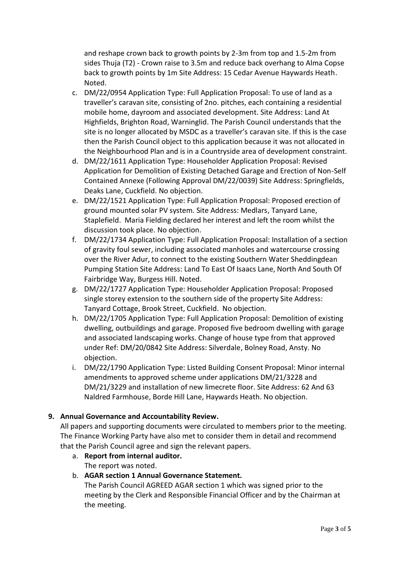and reshape crown back to growth points by 2-3m from top and 1.5-2m from sides Thuja (T2) - Crown raise to 3.5m and reduce back overhang to Alma Copse back to growth points by 1m Site Address: 15 Cedar Avenue Haywards Heath. Noted.

- c. DM/22/0954 Application Type: Full Application Proposal: To use of land as a traveller's caravan site, consisting of 2no. pitches, each containing a residential mobile home, dayroom and associated development. Site Address: Land At Highfields, Brighton Road, Warninglid. The Parish Council understands that the site is no longer allocated by MSDC as a traveller's caravan site. If this is the case then the Parish Council object to this application because it was not allocated in the Neighbourhood Plan and is in a Countryside area of development constraint.
- d. DM/22/1611 Application Type: Householder Application Proposal: Revised Application for Demolition of Existing Detached Garage and Erection of Non-Self Contained Annexe (Following Approval DM/22/0039) Site Address: Springfields, Deaks Lane, Cuckfield. No objection.
- e. DM/22/1521 Application Type: Full Application Proposal: Proposed erection of ground mounted solar PV system. Site Address: Medlars, Tanyard Lane, Staplefield. Maria Fielding declared her interest and left the room whilst the discussion took place. No objection.
- f. DM/22/1734 Application Type: Full Application Proposal: Installation of a section of gravity foul sewer, including associated manholes and watercourse crossing over the River Adur, to connect to the existing Southern Water Sheddingdean Pumping Station Site Address: Land To East Of Isaacs Lane, North And South Of Fairbridge Way, Burgess Hill. Noted.
- g. DM/22/1727 Application Type: Householder Application Proposal: Proposed single storey extension to the southern side of the property Site Address: Tanyard Cottage, Brook Street, Cuckfield. No objection.
- h. DM/22/1705 Application Type: Full Application Proposal: Demolition of existing dwelling, outbuildings and garage. Proposed five bedroom dwelling with garage and associated landscaping works. Change of house type from that approved under Ref: DM/20/0842 Site Address: Silverdale, Bolney Road, Ansty. No objection.
- i. DM/22/1790 Application Type: Listed Building Consent Proposal: Minor internal amendments to approved scheme under applications DM/21/3228 and DM/21/3229 and installation of new limecrete floor. Site Address: 62 And 63 Naldred Farmhouse, Borde Hill Lane, Haywards Heath. No objection.

# **9. Annual Governance and Accountability Review.**

All papers and supporting documents were circulated to members prior to the meeting. The Finance Working Party have also met to consider them in detail and recommend that the Parish Council agree and sign the relevant papers.

- a. **Report from internal auditor.**
- The report was noted.

# b. **AGAR section 1 Annual Governance Statement.**

The Parish Council AGREED AGAR section 1 which was signed prior to the meeting by the Clerk and Responsible Financial Officer and by the Chairman at the meeting.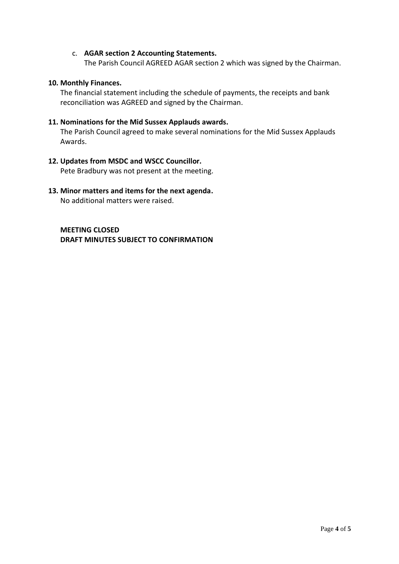### c. **AGAR section 2 Accounting Statements.**

The Parish Council AGREED AGAR section 2 which was signed by the Chairman.

### **10. Monthly Finances.**

The financial statement including the schedule of payments, the receipts and bank reconciliation was AGREED and signed by the Chairman.

### **11. Nominations for the Mid Sussex Applauds awards.**

The Parish Council agreed to make several nominations for the Mid Sussex Applauds Awards.

### **12. Updates from MSDC and WSCC Councillor.**

Pete Bradbury was not present at the meeting.

### **13. Minor matters and items for the next agenda.**

No additional matters were raised.

**MEETING CLOSED DRAFT MINUTES SUBJECT TO CONFIRMATION**